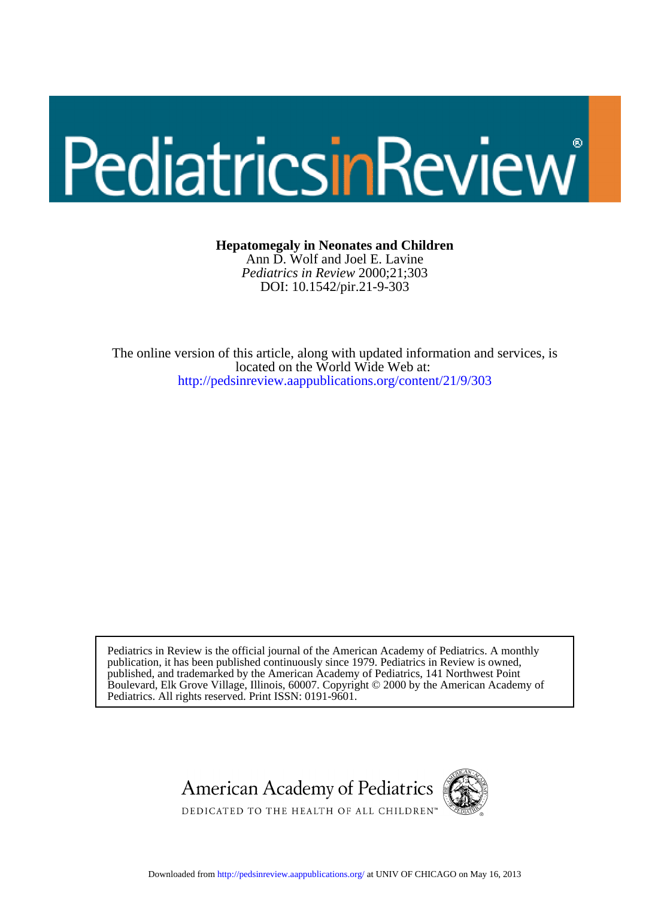# PediatricsinReview

# **Hepatomegaly in Neonates and Children**

DOI: 10.1542/pir.21-9-303 *Pediatrics in Review* 2000;21;303 Ann D. Wolf and Joel E. Lavine

<http://pedsinreview.aappublications.org/content/21/9/303> located on the World Wide Web at: The online version of this article, along with updated information and services, is

Pediatrics. All rights reserved. Print ISSN: 0191-9601. Boulevard, Elk Grove Village, Illinois, 60007. Copyright © 2000 by the American Academy of published, and trademarked by the American Academy of Pediatrics, 141 Northwest Point publication, it has been published continuously since 1979. Pediatrics in Review is owned, Pediatrics in Review is the official journal of the American Academy of Pediatrics. A monthly



DEDICATED TO THE HEALTH OF ALL CHILDREN<sup>™</sup>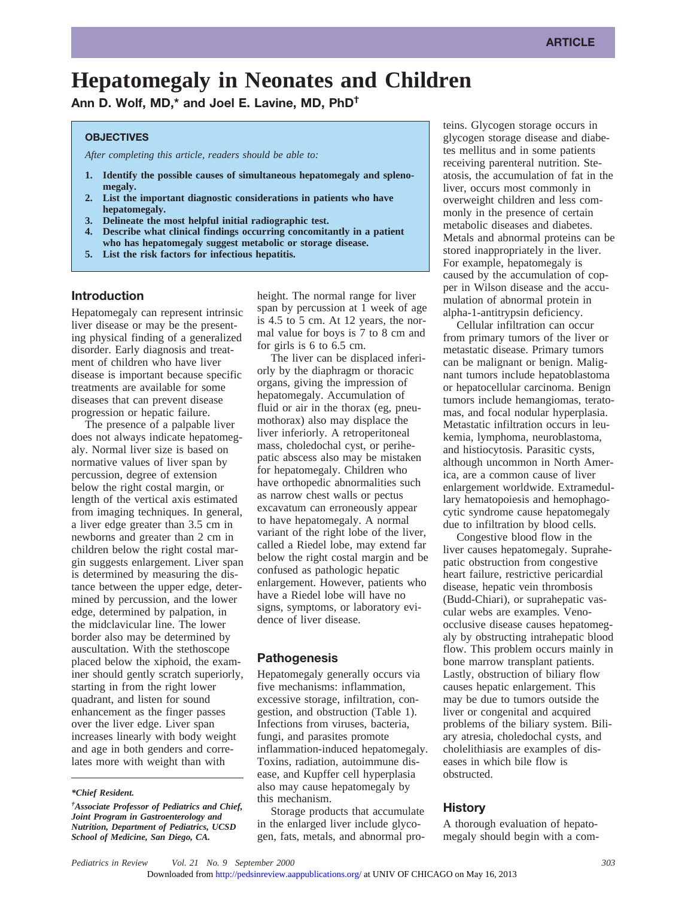# **Hepatomegaly in Neonates and Children**

**Ann D. Wolf, MD,\* and Joel E. Lavine, MD, PhD†**

#### **OBJECTIVES**

*After completing this article, readers should be able to:*

- **1. Identify the possible causes of simultaneous hepatomegaly and splenomegaly.**
- **2. List the important diagnostic considerations in patients who have hepatomegaly.**
- **3. Delineate the most helpful initial radiographic test.**
- **4. Describe what clinical findings occurring concomitantly in a patient who has hepatomegaly suggest metabolic or storage disease.**
- **5. List the risk factors for infectious hepatitis.**

# **Introduction**

Hepatomegaly can represent intrinsic liver disease or may be the presenting physical finding of a generalized disorder. Early diagnosis and treatment of children who have liver disease is important because specific treatments are available for some diseases that can prevent disease progression or hepatic failure.

The presence of a palpable liver does not always indicate hepatomegaly. Normal liver size is based on normative values of liver span by percussion, degree of extension below the right costal margin, or length of the vertical axis estimated from imaging techniques. In general, a liver edge greater than 3.5 cm in newborns and greater than 2 cm in children below the right costal margin suggests enlargement. Liver span is determined by measuring the distance between the upper edge, determined by percussion, and the lower edge, determined by palpation, in the midclavicular line. The lower border also may be determined by auscultation. With the stethoscope placed below the xiphoid, the examiner should gently scratch superiorly, starting in from the right lower quadrant, and listen for sound enhancement as the finger passes over the liver edge. Liver span increases linearly with body weight and age in both genders and correlates more with weight than with

height. The normal range for liver span by percussion at 1 week of age is 4.5 to 5 cm. At 12 years, the normal value for boys is 7 to 8 cm and for girls is 6 to 6.5 cm.

The liver can be displaced inferiorly by the diaphragm or thoracic organs, giving the impression of hepatomegaly. Accumulation of fluid or air in the thorax (eg, pneumothorax) also may displace the liver inferiorly. A retroperitoneal mass, choledochal cyst, or perihepatic abscess also may be mistaken for hepatomegaly. Children who have orthopedic abnormalities such as narrow chest walls or pectus excavatum can erroneously appear to have hepatomegaly. A normal variant of the right lobe of the liver, called a Riedel lobe, may extend far below the right costal margin and be confused as pathologic hepatic enlargement. However, patients who have a Riedel lobe will have no signs, symptoms, or laboratory evidence of liver disease.

# **Pathogenesis**

Hepatomegaly generally occurs via five mechanisms: inflammation, excessive storage, infiltration, congestion, and obstruction (Table 1). Infections from viruses, bacteria, fungi, and parasites promote inflammation-induced hepatomegaly. Toxins, radiation, autoimmune disease, and Kupffer cell hyperplasia also may cause hepatomegaly by this mechanism.

Storage products that accumulate in the enlarged liver include glycogen, fats, metals, and abnormal proteins. Glycogen storage occurs in glycogen storage disease and diabetes mellitus and in some patients receiving parenteral nutrition. Steatosis, the accumulation of fat in the liver, occurs most commonly in overweight children and less commonly in the presence of certain metabolic diseases and diabetes. Metals and abnormal proteins can be stored inappropriately in the liver. For example, hepatomegaly is caused by the accumulation of copper in Wilson disease and the accumulation of abnormal protein in alpha-1-antitrypsin deficiency.

Cellular infiltration can occur from primary tumors of the liver or metastatic disease. Primary tumors can be malignant or benign. Malignant tumors include hepatoblastoma or hepatocellular carcinoma. Benign tumors include hemangiomas, teratomas, and focal nodular hyperplasia. Metastatic infiltration occurs in leukemia, lymphoma, neuroblastoma, and histiocytosis. Parasitic cysts, although uncommon in North America, are a common cause of liver enlargement worldwide. Extramedullary hematopoiesis and hemophagocytic syndrome cause hepatomegaly due to infiltration by blood cells.

Congestive blood flow in the liver causes hepatomegaly. Suprahepatic obstruction from congestive heart failure, restrictive pericardial disease, hepatic vein thrombosis (Budd-Chiari), or suprahepatic vascular webs are examples. Venoocclusive disease causes hepatomegaly by obstructing intrahepatic blood flow. This problem occurs mainly in bone marrow transplant patients. Lastly, obstruction of biliary flow causes hepatic enlargement. This may be due to tumors outside the liver or congenital and acquired problems of the biliary system. Biliary atresia, choledochal cysts, and cholelithiasis are examples of diseases in which bile flow is obstructed.

# **History**

A thorough evaluation of hepatomegaly should begin with a com-

*<sup>\*</sup>Chief Resident.*

*<sup>†</sup> Associate Professor of Pediatrics and Chief, Joint Program in Gastroenterology and Nutrition, Department of Pediatrics, UCSD School of Medicine, San Diego, CA.*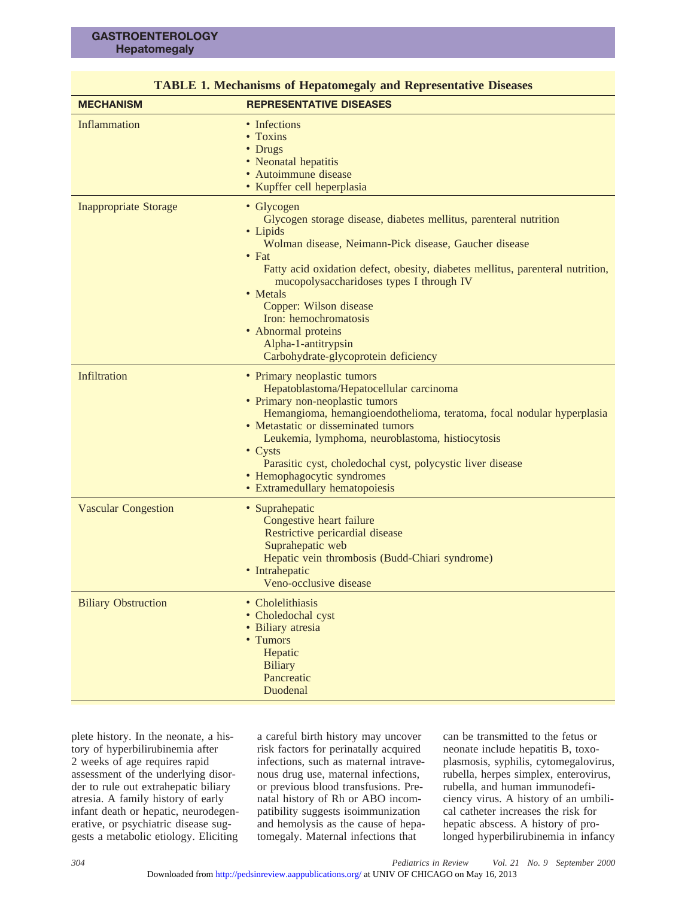| <b>MECHANISM</b>             | <b>REPRESENTATIVE DISEASES</b>                                                                                                                                                                                                                                                                                                                                                                                                                           |
|------------------------------|----------------------------------------------------------------------------------------------------------------------------------------------------------------------------------------------------------------------------------------------------------------------------------------------------------------------------------------------------------------------------------------------------------------------------------------------------------|
| Inflammation                 | • Infections<br>• Toxins<br>• Drugs<br>• Neonatal hepatitis<br>• Autoimmune disease<br>• Kupffer cell heperplasia                                                                                                                                                                                                                                                                                                                                        |
| <b>Inappropriate Storage</b> | • Glycogen<br>Glycogen storage disease, diabetes mellitus, parenteral nutrition<br>• Lipids<br>Wolman disease, Neimann-Pick disease, Gaucher disease<br>$\bullet$ Fat<br>Fatty acid oxidation defect, obesity, diabetes mellitus, parenteral nutrition,<br>mucopolysaccharidoses types I through IV<br>• Metals<br>Copper: Wilson disease<br>Iron: hemochromatosis<br>• Abnormal proteins<br>Alpha-1-antitrypsin<br>Carbohydrate-glycoprotein deficiency |
| Infiltration                 | • Primary neoplastic tumors<br>Hepatoblastoma/Hepatocellular carcinoma<br>• Primary non-neoplastic tumors<br>Hemangioma, hemangioendothelioma, teratoma, focal nodular hyperplasia<br>• Metastatic or disseminated tumors<br>Leukemia, lymphoma, neuroblastoma, histiocytosis<br>$\bullet$ Cysts<br>Parasitic cyst, choledochal cyst, polycystic liver disease<br>• Hemophagocytic syndromes<br>• Extramedullary hematopoiesis                           |
| <b>Vascular Congestion</b>   | • Suprahepatic<br>Congestive heart failure<br>Restrictive pericardial disease<br>Suprahepatic web<br>Hepatic vein thrombosis (Budd-Chiari syndrome)<br>• Intrahepatic<br>Veno-occlusive disease                                                                                                                                                                                                                                                          |
| <b>Biliary Obstruction</b>   | • Cholelithiasis<br>• Choledochal cyst<br>• Biliary atresia<br>• Tumors<br>Hepatic<br><b>Biliary</b><br>Pancreatic<br>Duodenal                                                                                                                                                                                                                                                                                                                           |

# **TABLE 1. Mechanisms of Hepatomegaly and Representative Diseases**

plete history. In the neonate, a history of hyperbilirubinemia after 2 weeks of age requires rapid assessment of the underlying disorder to rule out extrahepatic biliary atresia. A family history of early infant death or hepatic, neurodegenerative, or psychiatric disease suggests a metabolic etiology. Eliciting

a careful birth history may uncover risk factors for perinatally acquired infections, such as maternal intravenous drug use, maternal infections, or previous blood transfusions. Prenatal history of Rh or ABO incompatibility suggests isoimmunization and hemolysis as the cause of hepatomegaly. Maternal infections that

can be transmitted to the fetus or neonate include hepatitis B, toxoplasmosis, syphilis, cytomegalovirus, rubella, herpes simplex, enterovirus, rubella, and human immunodeficiency virus. A history of an umbilical catheter increases the risk for hepatic abscess. A history of prolonged hyperbilirubinemia in infancy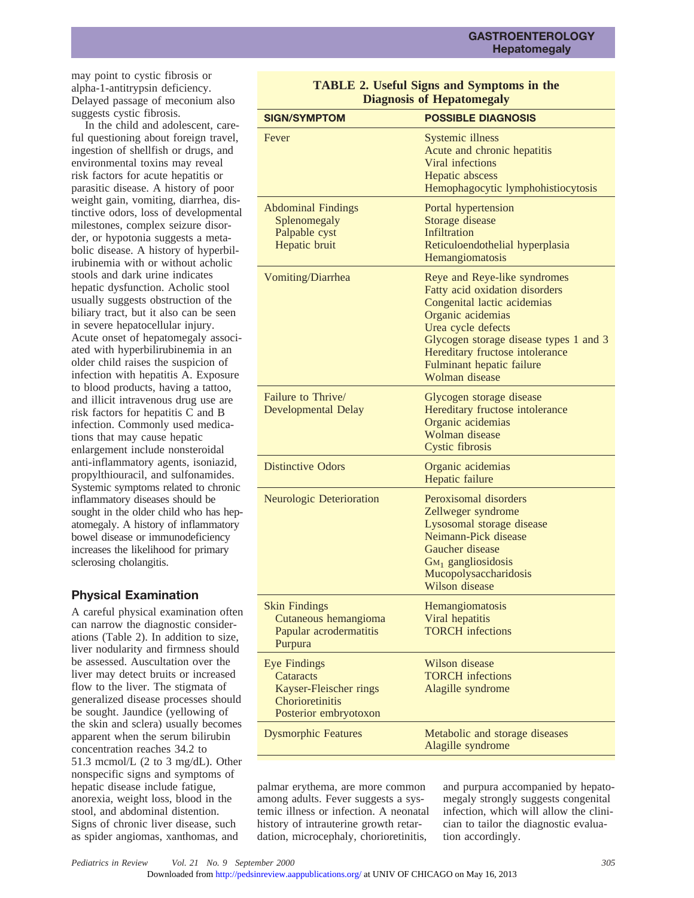may point to cystic fibrosis or alpha-1-antitrypsin deficiency. Delayed passage of meconium also suggests cystic fibrosis.

In the child and adolescent, careful questioning about foreign travel, ingestion of shellfish or drugs, and environmental toxins may reveal risk factors for acute hepatitis or parasitic disease. A history of poor weight gain, vomiting, diarrhea, distinctive odors, loss of developmental milestones, complex seizure disorder, or hypotonia suggests a metabolic disease. A history of hyperbilirubinemia with or without acholic stools and dark urine indicates hepatic dysfunction. Acholic stool usually suggests obstruction of the biliary tract, but it also can be seen in severe hepatocellular injury. Acute onset of hepatomegaly associated with hyperbilirubinemia in an older child raises the suspicion of infection with hepatitis A. Exposure to blood products, having a tattoo, and illicit intravenous drug use are risk factors for hepatitis C and B infection. Commonly used medications that may cause hepatic enlargement include nonsteroidal anti-inflammatory agents, isoniazid, propylthiouracil, and sulfonamides. Systemic symptoms related to chronic inflammatory diseases should be sought in the older child who has hepatomegaly. A history of inflammatory bowel disease or immunodeficiency increases the likelihood for primary sclerosing cholangitis.

# **Physical Examination**

A careful physical examination often can narrow the diagnostic considerations (Table 2). In addition to size, liver nodularity and firmness should be assessed. Auscultation over the liver may detect bruits or increased flow to the liver. The stigmata of generalized disease processes should be sought. Jaundice (yellowing of the skin and sclera) usually becomes apparent when the serum bilirubin concentration reaches 34.2 to 51.3 mcmol/L (2 to 3 mg/dL). Other nonspecific signs and symptoms of hepatic disease include fatigue, anorexia, weight loss, blood in the stool, and abdominal distention. Signs of chronic liver disease, such as spider angiomas, xanthomas, and

| <b>SIGN/SYMPTOM</b><br><b>POSSIBLE DIAGNOSIS</b><br>Systemic illness<br>Fever<br>Acute and chronic hepatitis<br>Viral infections<br>Hepatic abscess<br>Hemophagocytic lymphohistiocytosis<br><b>Abdominal Findings</b><br>Portal hypertension<br>Splenomegaly<br>Storage disease<br>Infiltration<br>Palpable cyst<br>Hepatic bruit<br>Reticuloendothelial hyperplasia<br>Hemangiomatosis<br>Vomiting/Diarrhea<br>Reye and Reye-like syndromes<br>Fatty acid oxidation disorders<br>Congenital lactic acidemias<br>Organic acidemias<br>Urea cycle defects<br>Glycogen storage disease types 1 and 3<br>Hereditary fructose intolerance<br>Fulminant hepatic failure<br>Wolman disease<br>Failure to Thrive/<br>Glycogen storage disease<br>Hereditary fructose intolerance<br><b>Developmental Delay</b><br>Organic acidemias<br>Wolman disease<br><b>Cystic fibrosis</b><br><b>Distinctive Odors</b><br>Organic acidemias<br>Hepatic failure<br>Peroxisomal disorders<br>Neurologic Deterioration<br>Zellweger syndrome<br>Lysosomal storage disease<br>Neimann-Pick disease<br>Gaucher disease<br>$GM1$ gangliosidosis<br>Mucopolysaccharidosis<br>Wilson disease<br>Hemangiomatosis<br><b>Skin Findings</b><br>Viral hepatitis<br>Cutaneous hemangioma<br><b>TORCH</b> infections<br>Papular acrodermatitis<br>Purpura<br>Wilson disease<br><b>Eye Findings</b><br><b>TORCH</b> infections<br>Cataracts<br>Kayser-Fleischer rings<br>Alagille syndrome<br>Chorioretinitis<br>Posterior embryotoxon<br>Metabolic and storage diseases<br><b>Dysmorphic Features</b><br>Alagille syndrome |  |  |
|--------------------------------------------------------------------------------------------------------------------------------------------------------------------------------------------------------------------------------------------------------------------------------------------------------------------------------------------------------------------------------------------------------------------------------------------------------------------------------------------------------------------------------------------------------------------------------------------------------------------------------------------------------------------------------------------------------------------------------------------------------------------------------------------------------------------------------------------------------------------------------------------------------------------------------------------------------------------------------------------------------------------------------------------------------------------------------------------------------------------------------------------------------------------------------------------------------------------------------------------------------------------------------------------------------------------------------------------------------------------------------------------------------------------------------------------------------------------------------------------------------------------------------------------------------------------------------------------|--|--|
|                                                                                                                                                                                                                                                                                                                                                                                                                                                                                                                                                                                                                                                                                                                                                                                                                                                                                                                                                                                                                                                                                                                                                                                                                                                                                                                                                                                                                                                                                                                                                                                            |  |  |
|                                                                                                                                                                                                                                                                                                                                                                                                                                                                                                                                                                                                                                                                                                                                                                                                                                                                                                                                                                                                                                                                                                                                                                                                                                                                                                                                                                                                                                                                                                                                                                                            |  |  |
|                                                                                                                                                                                                                                                                                                                                                                                                                                                                                                                                                                                                                                                                                                                                                                                                                                                                                                                                                                                                                                                                                                                                                                                                                                                                                                                                                                                                                                                                                                                                                                                            |  |  |
|                                                                                                                                                                                                                                                                                                                                                                                                                                                                                                                                                                                                                                                                                                                                                                                                                                                                                                                                                                                                                                                                                                                                                                                                                                                                                                                                                                                                                                                                                                                                                                                            |  |  |
|                                                                                                                                                                                                                                                                                                                                                                                                                                                                                                                                                                                                                                                                                                                                                                                                                                                                                                                                                                                                                                                                                                                                                                                                                                                                                                                                                                                                                                                                                                                                                                                            |  |  |
|                                                                                                                                                                                                                                                                                                                                                                                                                                                                                                                                                                                                                                                                                                                                                                                                                                                                                                                                                                                                                                                                                                                                                                                                                                                                                                                                                                                                                                                                                                                                                                                            |  |  |
|                                                                                                                                                                                                                                                                                                                                                                                                                                                                                                                                                                                                                                                                                                                                                                                                                                                                                                                                                                                                                                                                                                                                                                                                                                                                                                                                                                                                                                                                                                                                                                                            |  |  |
|                                                                                                                                                                                                                                                                                                                                                                                                                                                                                                                                                                                                                                                                                                                                                                                                                                                                                                                                                                                                                                                                                                                                                                                                                                                                                                                                                                                                                                                                                                                                                                                            |  |  |
|                                                                                                                                                                                                                                                                                                                                                                                                                                                                                                                                                                                                                                                                                                                                                                                                                                                                                                                                                                                                                                                                                                                                                                                                                                                                                                                                                                                                                                                                                                                                                                                            |  |  |
|                                                                                                                                                                                                                                                                                                                                                                                                                                                                                                                                                                                                                                                                                                                                                                                                                                                                                                                                                                                                                                                                                                                                                                                                                                                                                                                                                                                                                                                                                                                                                                                            |  |  |

**TABLE 2. Useful Signs and Symptoms in the Diagnosis of Hepatomegaly**

palmar erythema, are more common among adults. Fever suggests a systemic illness or infection. A neonatal history of intrauterine growth retardation, microcephaly, chorioretinitis,

and purpura accompanied by hepatomegaly strongly suggests congenital infection, which will allow the clinician to tailor the diagnostic evaluation accordingly.

# *Pediatrics in Review Vol. 21 No. 9 September 2000 305*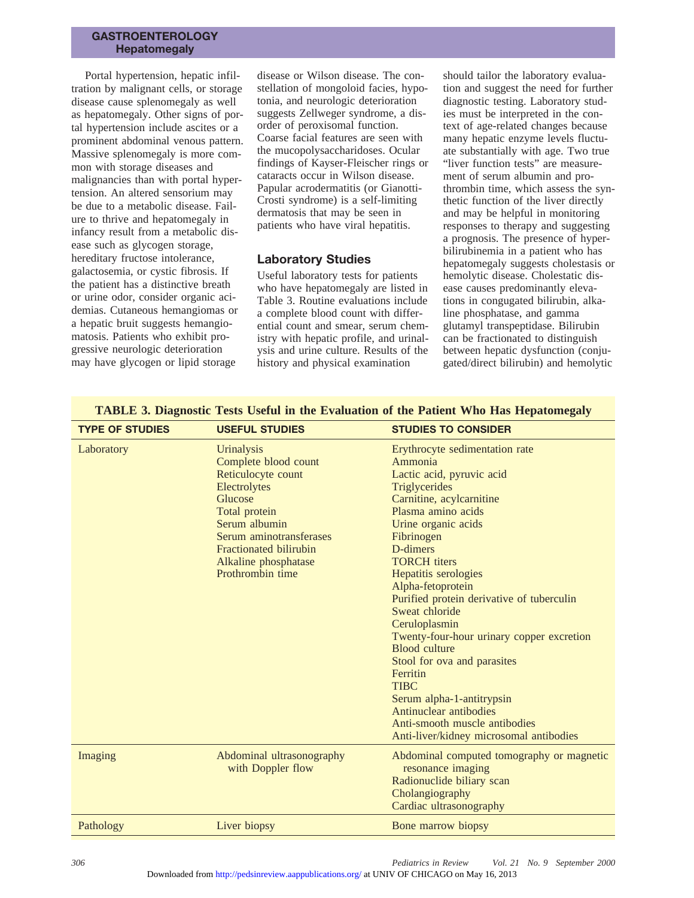# **GASTROENTEROLOGY Hepatomegaly**

Portal hypertension, hepatic infiltration by malignant cells, or storage disease cause splenomegaly as well as hepatomegaly. Other signs of portal hypertension include ascites or a prominent abdominal venous pattern. Massive splenomegaly is more common with storage diseases and malignancies than with portal hypertension. An altered sensorium may be due to a metabolic disease. Failure to thrive and hepatomegaly in infancy result from a metabolic disease such as glycogen storage, hereditary fructose intolerance, galactosemia, or cystic fibrosis. If the patient has a distinctive breath or urine odor, consider organic acidemias. Cutaneous hemangiomas or a hepatic bruit suggests hemangiomatosis. Patients who exhibit progressive neurologic deterioration may have glycogen or lipid storage

disease or Wilson disease. The constellation of mongoloid facies, hypotonia, and neurologic deterioration suggests Zellweger syndrome, a disorder of peroxisomal function. Coarse facial features are seen with the mucopolysaccharidoses. Ocular findings of Kayser-Fleischer rings or cataracts occur in Wilson disease. Papular acrodermatitis (or Gianotti-Crosti syndrome) is a self-limiting dermatosis that may be seen in patients who have viral hepatitis.

# **Laboratory Studies**

Useful laboratory tests for patients who have hepatomegaly are listed in Table 3. Routine evaluations include a complete blood count with differential count and smear, serum chemistry with hepatic profile, and urinalysis and urine culture. Results of the history and physical examination

should tailor the laboratory evaluation and suggest the need for further diagnostic testing. Laboratory studies must be interpreted in the context of age-related changes because many hepatic enzyme levels fluctuate substantially with age. Two true "liver function tests" are measurement of serum albumin and prothrombin time, which assess the synthetic function of the liver directly and may be helpful in monitoring responses to therapy and suggesting a prognosis. The presence of hyperbilirubinemia in a patient who has hepatomegaly suggests cholestasis or hemolytic disease. Cholestatic disease causes predominantly elevations in congugated bilirubin, alkaline phosphatase, and gamma glutamyl transpeptidase. Bilirubin can be fractionated to distinguish between hepatic dysfunction (conjugated/direct bilirubin) and hemolytic

| <b>TYPE OF STUDIES</b> | <b>USEFUL STUDIES</b>                                                                                                                                                                                                         | <b>STUDIES TO CONSIDER</b>                                                                                                                                                                                                                                                                                                                                                                                                                                                                                                                                                                                       |
|------------------------|-------------------------------------------------------------------------------------------------------------------------------------------------------------------------------------------------------------------------------|------------------------------------------------------------------------------------------------------------------------------------------------------------------------------------------------------------------------------------------------------------------------------------------------------------------------------------------------------------------------------------------------------------------------------------------------------------------------------------------------------------------------------------------------------------------------------------------------------------------|
| Laboratory             | Urinalysis<br>Complete blood count<br>Reticulocyte count<br>Electrolytes<br>Glucose<br>Total protein<br>Serum albumin<br>Serum aminotransferases<br><b>Fractionated bilirubin</b><br>Alkaline phosphatase<br>Prothrombin time | Erythrocyte sedimentation rate<br>Ammonia<br>Lactic acid, pyruvic acid<br>Triglycerides<br>Carnitine, acylcarnitine<br>Plasma amino acids<br>Urine organic acids<br>Fibrinogen<br>D-dimers<br><b>TORCH</b> titers<br>Hepatitis serologies<br>Alpha-fetoprotein<br>Purified protein derivative of tuberculin<br>Sweat chloride<br>Ceruloplasmin<br>Twenty-four-hour urinary copper excretion<br><b>Blood</b> culture<br>Stool for ova and parasites<br>Ferritin<br><b>TIBC</b><br>Serum alpha-1-antitrypsin<br>Antinuclear antibodies<br>Anti-smooth muscle antibodies<br>Anti-liver/kidney microsomal antibodies |
| Imaging                | Abdominal ultrasonography<br>with Doppler flow                                                                                                                                                                                | Abdominal computed tomography or magnetic<br>resonance imaging<br>Radionuclide biliary scan<br>Cholangiography<br>Cardiac ultrasonography                                                                                                                                                                                                                                                                                                                                                                                                                                                                        |
| Pathology              | Liver biopsy                                                                                                                                                                                                                  | Bone marrow biopsy                                                                                                                                                                                                                                                                                                                                                                                                                                                                                                                                                                                               |

**TABLE 3. Diagnostic Tests Useful in the Evaluation of the Patient Who Has Hepatomegaly**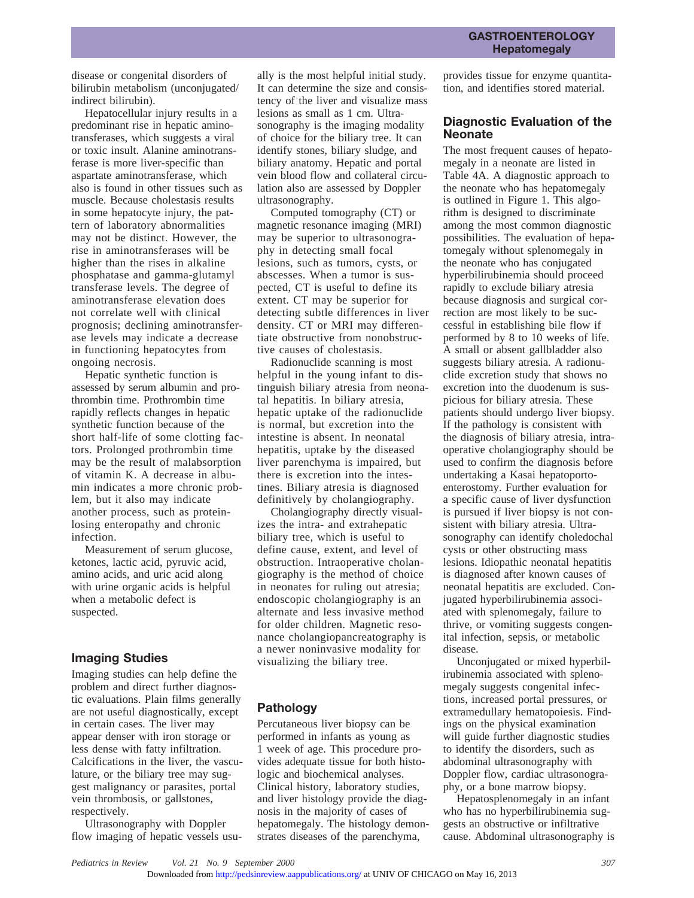disease or congenital disorders of bilirubin metabolism (unconjugated/ indirect bilirubin).

Hepatocellular injury results in a predominant rise in hepatic aminotransferases, which suggests a viral or toxic insult. Alanine aminotransferase is more liver-specific than aspartate aminotransferase, which also is found in other tissues such as muscle. Because cholestasis results in some hepatocyte injury, the pattern of laboratory abnormalities may not be distinct. However, the rise in aminotransferases will be higher than the rises in alkaline phosphatase and gamma-glutamyl transferase levels. The degree of aminotransferase elevation does not correlate well with clinical prognosis; declining aminotransferase levels may indicate a decrease in functioning hepatocytes from ongoing necrosis.

Hepatic synthetic function is assessed by serum albumin and prothrombin time. Prothrombin time rapidly reflects changes in hepatic synthetic function because of the short half-life of some clotting factors. Prolonged prothrombin time may be the result of malabsorption of vitamin K. A decrease in albumin indicates a more chronic problem, but it also may indicate another process, such as proteinlosing enteropathy and chronic infection.

Measurement of serum glucose, ketones, lactic acid, pyruvic acid, amino acids, and uric acid along with urine organic acids is helpful when a metabolic defect is suspected.

# **Imaging Studies**

Imaging studies can help define the problem and direct further diagnostic evaluations. Plain films generally are not useful diagnostically, except in certain cases. The liver may appear denser with iron storage or less dense with fatty infiltration. Calcifications in the liver, the vasculature, or the biliary tree may suggest malignancy or parasites, portal vein thrombosis, or gallstones, respectively.

Ultrasonography with Doppler flow imaging of hepatic vessels usually is the most helpful initial study. It can determine the size and consistency of the liver and visualize mass lesions as small as 1 cm. Ultrasonography is the imaging modality of choice for the biliary tree. It can identify stones, biliary sludge, and biliary anatomy. Hepatic and portal vein blood flow and collateral circulation also are assessed by Doppler ultrasonography.

Computed tomography (CT) or magnetic resonance imaging (MRI) may be superior to ultrasonography in detecting small focal lesions, such as tumors, cysts, or abscesses. When a tumor is suspected, CT is useful to define its extent. CT may be superior for detecting subtle differences in liver density. CT or MRI may differentiate obstructive from nonobstructive causes of cholestasis.

Radionuclide scanning is most helpful in the young infant to distinguish biliary atresia from neonatal hepatitis. In biliary atresia, hepatic uptake of the radionuclide is normal, but excretion into the intestine is absent. In neonatal hepatitis, uptake by the diseased liver parenchyma is impaired, but there is excretion into the intestines. Biliary atresia is diagnosed definitively by cholangiography.

Cholangiography directly visualizes the intra- and extrahepatic biliary tree, which is useful to define cause, extent, and level of obstruction. Intraoperative cholangiography is the method of choice in neonates for ruling out atresia; endoscopic cholangiography is an alternate and less invasive method for older children. Magnetic resonance cholangiopancreatography is a newer noninvasive modality for visualizing the biliary tree.

# **Pathology**

Percutaneous liver biopsy can be performed in infants as young as 1 week of age. This procedure provides adequate tissue for both histologic and biochemical analyses. Clinical history, laboratory studies, and liver histology provide the diagnosis in the majority of cases of hepatomegaly. The histology demonstrates diseases of the parenchyma,

### **GASTROENTEROLOGY Hepatomegaly**

provides tissue for enzyme quantitation, and identifies stored material.

# **Diagnostic Evaluation of the Neonate**

The most frequent causes of hepatomegaly in a neonate are listed in Table 4A. A diagnostic approach to the neonate who has hepatomegaly is outlined in Figure 1. This algorithm is designed to discriminate among the most common diagnostic possibilities. The evaluation of hepatomegaly without splenomegaly in the neonate who has conjugated hyperbilirubinemia should proceed rapidly to exclude biliary atresia because diagnosis and surgical correction are most likely to be successful in establishing bile flow if performed by 8 to 10 weeks of life. A small or absent gallbladder also suggests biliary atresia. A radionuclide excretion study that shows no excretion into the duodenum is suspicious for biliary atresia. These patients should undergo liver biopsy. If the pathology is consistent with the diagnosis of biliary atresia, intraoperative cholangiography should be used to confirm the diagnosis before undertaking a Kasai hepatoportoenterostomy. Further evaluation for a specific cause of liver dysfunction is pursued if liver biopsy is not consistent with biliary atresia. Ultrasonography can identify choledochal cysts or other obstructing mass lesions. Idiopathic neonatal hepatitis is diagnosed after known causes of neonatal hepatitis are excluded. Conjugated hyperbilirubinemia associated with splenomegaly, failure to thrive, or vomiting suggests congenital infection, sepsis, or metabolic disease.

Unconjugated or mixed hyperbilirubinemia associated with splenomegaly suggests congenital infections, increased portal pressures, or extramedullary hematopoiesis. Findings on the physical examination will guide further diagnostic studies to identify the disorders, such as abdominal ultrasonography with Doppler flow, cardiac ultrasonography, or a bone marrow biopsy.

Hepatosplenomegaly in an infant who has no hyperbilirubinemia suggests an obstructive or infiltrative cause. Abdominal ultrasonography is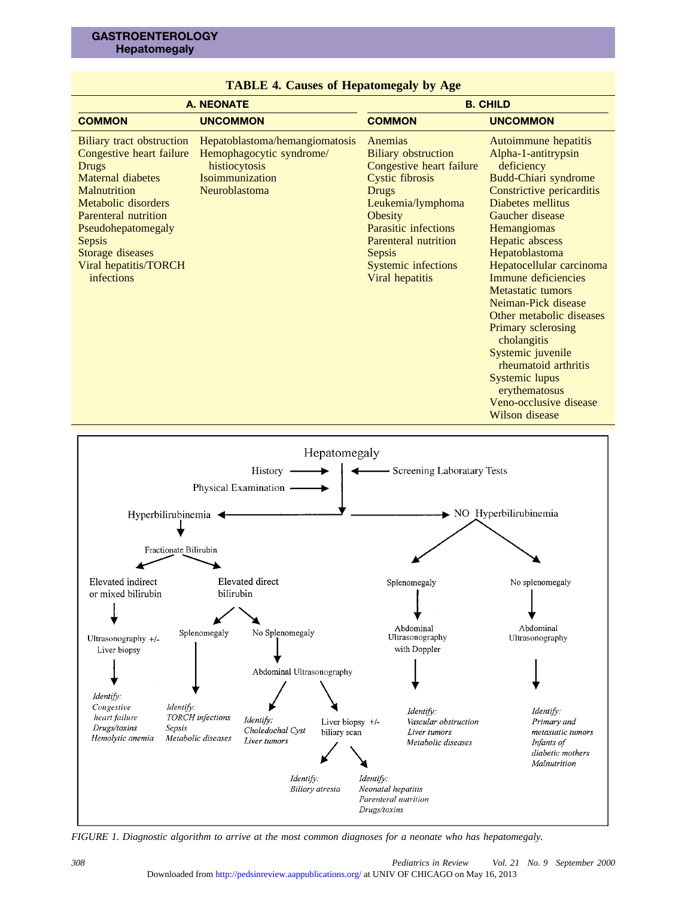# **GASTROENTEROLOGY Hepatomegaly**

| <b>A. NEONATE</b>                                                                                                                                                                                                                                                  |                                                                                                                                                                 | <b>B. CHILD</b>                                                                                                                                                                                                                                               |                                                                                                                                                                                                                                                                                                                                                                                                                                                                                                                             |
|--------------------------------------------------------------------------------------------------------------------------------------------------------------------------------------------------------------------------------------------------------------------|-----------------------------------------------------------------------------------------------------------------------------------------------------------------|---------------------------------------------------------------------------------------------------------------------------------------------------------------------------------------------------------------------------------------------------------------|-----------------------------------------------------------------------------------------------------------------------------------------------------------------------------------------------------------------------------------------------------------------------------------------------------------------------------------------------------------------------------------------------------------------------------------------------------------------------------------------------------------------------------|
| <b>COMMON</b>                                                                                                                                                                                                                                                      | <b>UNCOMMON</b>                                                                                                                                                 | <b>COMMON</b>                                                                                                                                                                                                                                                 | <b>UNCOMMON</b>                                                                                                                                                                                                                                                                                                                                                                                                                                                                                                             |
| <b>Biliary</b> tract obstruction<br>Congestive heart failure<br><b>Drugs</b><br><b>Maternal diabetes</b><br>Malnutrition<br>Metabolic disorders<br>Parenteral nutrition<br>Pseudohepatomegaly<br>Sepsis<br>Storage diseases<br>Viral hepatitis/TORCH<br>infections | Hepatoblastoma/hemangiomatosis<br>Hemophagocytic syndrome/<br>histiocytosis<br>Isoimmunization<br>Neuroblastoma                                                 | Anemias<br><b>Biliary</b> obstruction<br>Congestive heart failure<br><b>Cystic fibrosis</b><br><b>Drugs</b><br>Leukemia/lymphoma<br>Obesity<br>Parasitic infections<br><b>Parenteral nutrition</b><br>Sepsis<br><b>Systemic infections</b><br>Viral hepatitis | Autoimmune hepatitis<br>Alpha-1-antitrypsin<br>deficiency<br><b>Budd-Chiari syndrome</b><br>Constrictive pericarditis<br>Diabetes mellitus<br>Gaucher disease<br>Hemangiomas<br>Hepatic abscess<br>Hepatoblastoma<br>Hepatocellular carcinoma<br>Immune deficiencies<br><b>Metastatic tumors</b><br>Neiman-Pick disease<br>Other metabolic diseases<br>Primary sclerosing<br>cholangitis<br>Systemic juvenile<br>rheumatoid arthritis<br><b>Systemic lupus</b><br>erythematosus<br>Veno-occlusive disease<br>Wilson disease |
| Hepatomegaly<br><b>Screening Laboratary Tests</b><br><b>History</b><br>Physical Examination -<br>NO Hyperbilirubinemia<br>Hyperbilirubinemia $\triangleleft$<br>Fractionate Bilirubin                                                                              |                                                                                                                                                                 |                                                                                                                                                                                                                                                               |                                                                                                                                                                                                                                                                                                                                                                                                                                                                                                                             |
| Elevated indirect<br>or mixed bilirubin                                                                                                                                                                                                                            | <b>Elevated</b> direct<br>bilirubin                                                                                                                             | Splenomegaly                                                                                                                                                                                                                                                  | No splenomegaly                                                                                                                                                                                                                                                                                                                                                                                                                                                                                                             |
| Ultrasonography +/-<br>Liver biopsy                                                                                                                                                                                                                                | Splenomegaly<br>No Splenomegaly                                                                                                                                 | Abdominal<br>Ultrasonography<br>with Doppler                                                                                                                                                                                                                  | Abdominal<br>Ultrasonography                                                                                                                                                                                                                                                                                                                                                                                                                                                                                                |
| Identify:<br>Congestive<br>Identify:<br>heart failure<br>Drugs/toxins<br>Sepsis<br>Hemolytic anemia                                                                                                                                                                | Abdominal Ultrasonography<br><b>TORCH</b> infections<br>Identify:<br>Liver biopsy +/-<br>Choledochal Cyst<br>biliary scan<br>Metabolic diseases<br>Liver tumors | Identify:<br>Vascular obstruction<br>Liver tumors<br>Metabolic diseases                                                                                                                                                                                       | Identify:<br>Primary and<br>metastatic tumors<br>Infants of<br>diabetic mothers<br>Malnutrition                                                                                                                                                                                                                                                                                                                                                                                                                             |
|                                                                                                                                                                                                                                                                    | Identify:<br>Biliary atresia                                                                                                                                    | Identify:<br>Neonatal hepatitis<br>Parenteral nutrition<br>Drugs/toxins                                                                                                                                                                                       |                                                                                                                                                                                                                                                                                                                                                                                                                                                                                                                             |

# **TABLE 4. Causes of Hepatomegaly by Age**

*FIGURE 1. Diagnostic algorithm to arrive at the most common diagnoses for a neonate who has hepatomegaly.*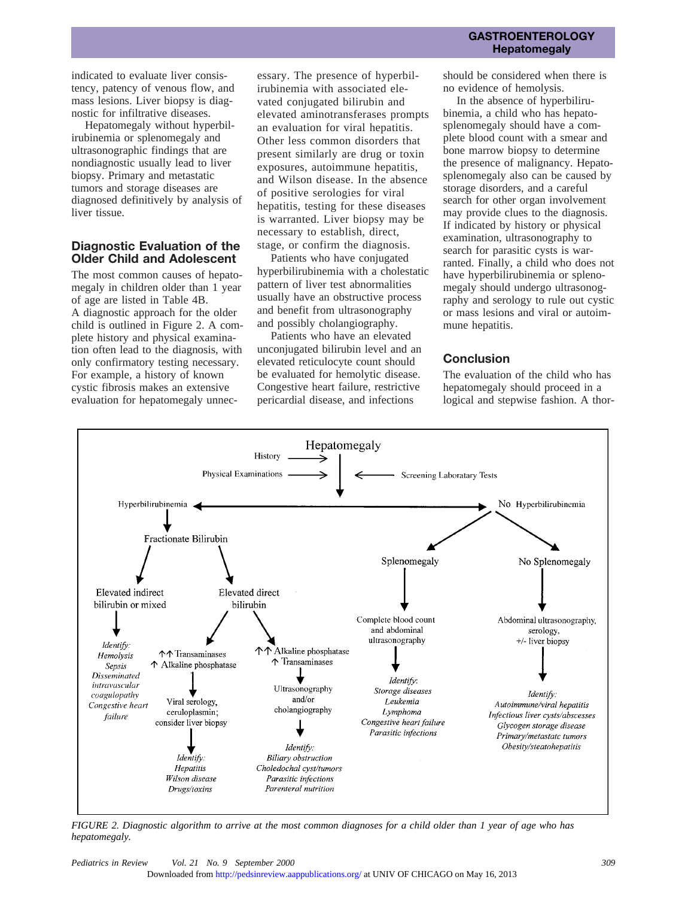indicated to evaluate liver consistency, patency of venous flow, and mass lesions. Liver biopsy is diagnostic for infiltrative diseases.

Hepatomegaly without hyperbilirubinemia or splenomegaly and ultrasonographic findings that are nondiagnostic usually lead to liver biopsy. Primary and metastatic tumors and storage diseases are diagnosed definitively by analysis of liver tissue.

## **Diagnostic Evaluation of the Older Child and Adolescent**

The most common causes of hepatomegaly in children older than 1 year of age are listed in Table 4B. A diagnostic approach for the older child is outlined in Figure 2. A complete history and physical examination often lead to the diagnosis, with only confirmatory testing necessary. For example, a history of known cystic fibrosis makes an extensive evaluation for hepatomegaly unnecessary. The presence of hyperbilirubinemia with associated elevated conjugated bilirubin and elevated aminotransferases prompts an evaluation for viral hepatitis. Other less common disorders that present similarly are drug or toxin exposures, autoimmune hepatitis, and Wilson disease. In the absence of positive serologies for viral hepatitis, testing for these diseases is warranted. Liver biopsy may be necessary to establish, direct, stage, or confirm the diagnosis.

Patients who have conjugated hyperbilirubinemia with a cholestatic pattern of liver test abnormalities usually have an obstructive process and benefit from ultrasonography and possibly cholangiography.

Patients who have an elevated unconjugated bilirubin level and an elevated reticulocyte count should be evaluated for hemolytic disease. Congestive heart failure, restrictive pericardial disease, and infections

## **GASTROENTEROLOGY Hepatomegaly**

should be considered when there is no evidence of hemolysis.

In the absence of hyperbilirubinemia, a child who has hepatosplenomegaly should have a complete blood count with a smear and bone marrow biopsy to determine the presence of malignancy. Hepatosplenomegaly also can be caused by storage disorders, and a careful search for other organ involvement may provide clues to the diagnosis. If indicated by history or physical examination, ultrasonography to search for parasitic cysts is warranted. Finally, a child who does not have hyperbilirubinemia or splenomegaly should undergo ultrasonography and serology to rule out cystic or mass lesions and viral or autoimmune hepatitis.

# **Conclusion**

The evaluation of the child who has hepatomegaly should proceed in a logical and stepwise fashion. A thor-



*FIGURE 2. Diagnostic algorithm to arrive at the most common diagnoses for a child older than 1 year of age who has hepatomegaly.*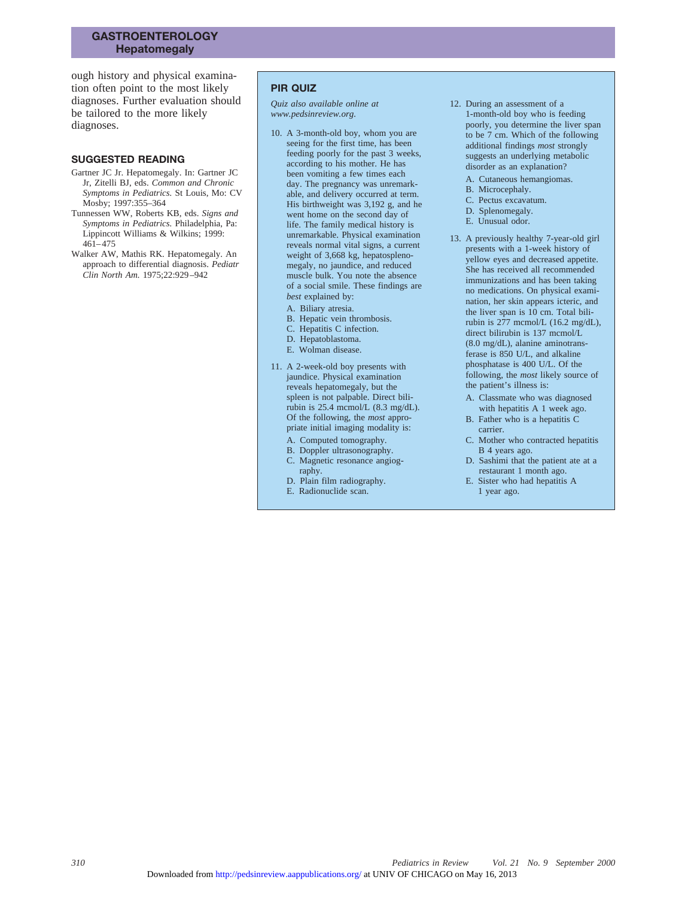#### **GASTROENTEROLOGY Hepatomegaly**

ough history and physical examination often point to the most likely diagnoses. Further evaluation should be tailored to the more likely diagnoses.

# **SUGGESTED READING**

- Gartner JC Jr. Hepatomegaly. In: Gartner JC Jr, Zitelli BJ, eds. *Common and Chronic Symptoms in Pediatrics.* St Louis, Mo: CV Mosby; 1997:355–364
- Tunnessen WW, Roberts KB, eds. *Signs and Symptoms in Pediatrics.* Philadelphia, Pa: Lippincott Williams & Wilkins; 1999: 461–475
- Walker AW, Mathis RK. Hepatomegaly. An approach to differential diagnosis. *Pediatr Clin North Am.* 1975;22:929–942

# **PIR QUIZ**

*Quiz also available online at www.pedsinreview.org.*

- 10. A 3-month-old boy, whom you are seeing for the first time, has been feeding poorly for the past 3 weeks, according to his mother. He has been vomiting a few times each day. The pregnancy was unremarkable, and delivery occurred at term. His birthweight was 3,192 g, and he went home on the second day of life. The family medical history is unremarkable. Physical examination reveals normal vital signs, a current weight of 3,668 kg, hepatosplenomegaly, no jaundice, and reduced muscle bulk. You note the absence of a social smile. These findings are *best* explained by:
	- A. Biliary atresia.
	- B. Hepatic vein thrombosis.
	- C. Hepatitis C infection.
	- D. Hepatoblastoma.
	- E. Wolman disease.
- 11. A 2-week-old boy presents with jaundice. Physical examination reveals hepatomegaly, but the spleen is not palpable. Direct bilirubin is 25.4 mcmol/L (8.3 mg/dL). Of the following, the *most* appropriate initial imaging modality is:
	- A. Computed tomography.
	- B. Doppler ultrasonography. C. Magnetic resonance angiog-
	- raphy.
	- D. Plain film radiography.
	- E. Radionuclide scan.
- 12. During an assessment of a 1-month-old boy who is feeding poorly, you determine the liver span to be 7 cm. Which of the following additional findings *most* strongly suggests an underlying metabolic disorder as an explanation?
	- A. Cutaneous hemangiomas.
	- B. Microcephaly.
	- C. Pectus excavatum.
	- D. Splenomegaly.
	- E. Unusual odor.
- 13. A previously healthy 7-year-old girl presents with a 1-week history of yellow eyes and decreased appetite. She has received all recommended immunizations and has been taking no medications. On physical examination, her skin appears icteric, and the liver span is 10 cm. Total bilirubin is  $277$  mcmol/L (16.2 mg/dL), direct bilirubin is 137 mcmol/L (8.0 mg/dL), alanine aminotransferase is 850 U/L, and alkaline phosphatase is 400 U/L. Of the following, the *most* likely source of the patient's illness is:
	- A. Classmate who was diagnosed with hepatitis A 1 week ago.
	- B. Father who is a hepatitis C carrier.
	- C. Mother who contracted hepatitis B 4 years ago.
	- D. Sashimi that the patient ate at a restaurant 1 month ago.
	- E. Sister who had hepatitis A 1 year ago.